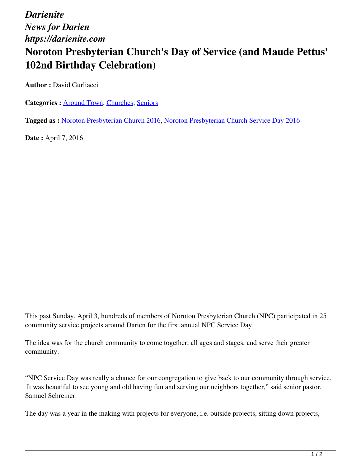*Darienite News for Darien https://darienite.com*

## **Noroton Presbyterian Church's Day of Service (and Maude Pettus' 102nd Birthday Celebration)**

**Author :** David Gurliacci

**Categories :** [Around Town,](https://darienite.com/category/news/around-town) Churches, Seniors

**Tagged as :** Noroton Presbyterian Church 2016, Noroton Presbyterian Church Service Day 2016

**Date :** April 7, 2016

This past Sunday, April 3, hundreds of members of Noroton Presbyterian Church (NPC) participated in 25 community service projects around Darien for the first annual NPC Service Day.

The idea was for the church community to come together, all ages and stages, and serve their greater community.

"NPC Service Day was really a chance for our congregation to give back to our community through service. It was beautiful to see young and old having fun and serving our neighbors together," said senior pastor, Samuel Schreiner.

The day was a year in the making with projects for everyone, i.e. outside projects, sitting down projects,